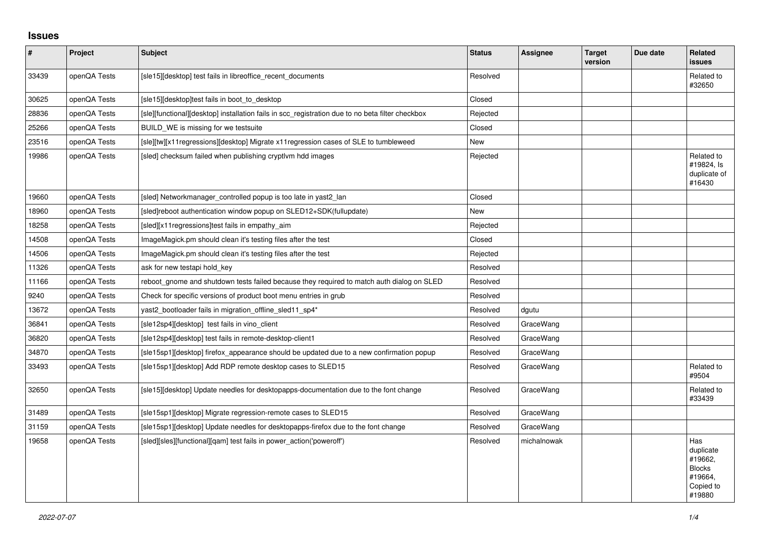## **Issues**

| $\vert$ # | Project      | <b>Subject</b>                                                                                   | <b>Status</b> | Assignee    | <b>Target</b><br>version | Due date | Related<br><b>issues</b>                                                       |
|-----------|--------------|--------------------------------------------------------------------------------------------------|---------------|-------------|--------------------------|----------|--------------------------------------------------------------------------------|
| 33439     | openQA Tests | [sle15][desktop] test fails in libreoffice recent documents                                      | Resolved      |             |                          |          | Related to<br>#32650                                                           |
| 30625     | openQA Tests | [sle15][desktop]test fails in boot_to_desktop                                                    | Closed        |             |                          |          |                                                                                |
| 28836     | openQA Tests | [sle][functional][desktop] installation fails in scc registration due to no beta filter checkbox | Rejected      |             |                          |          |                                                                                |
| 25266     | openQA Tests | BUILD WE is missing for we testsuite                                                             | Closed        |             |                          |          |                                                                                |
| 23516     | openQA Tests | [sle][tw][x11regressions][desktop] Migrate x11regression cases of SLE to tumbleweed              | New           |             |                          |          |                                                                                |
| 19986     | openQA Tests | [sled] checksum failed when publishing cryptlym hdd images                                       | Rejected      |             |                          |          | Related to<br>#19824, Is<br>duplicate of<br>#16430                             |
| 19660     | openQA Tests | [sled] Networkmanager controlled popup is too late in yast2 lan                                  | Closed        |             |                          |          |                                                                                |
| 18960     | openQA Tests | [sled]reboot authentication window popup on SLED12+SDK(fullupdate)                               | New           |             |                          |          |                                                                                |
| 18258     | openQA Tests | [sled][x11 regressions]test fails in empathy_aim                                                 | Rejected      |             |                          |          |                                                                                |
| 14508     | openQA Tests | ImageMagick.pm should clean it's testing files after the test                                    | Closed        |             |                          |          |                                                                                |
| 14506     | openQA Tests | ImageMagick.pm should clean it's testing files after the test                                    | Rejected      |             |                          |          |                                                                                |
| 11326     | openQA Tests | ask for new testapi hold key                                                                     | Resolved      |             |                          |          |                                                                                |
| 11166     | openQA Tests | reboot gnome and shutdown tests failed because they required to match auth dialog on SLED        | Resolved      |             |                          |          |                                                                                |
| 9240      | openQA Tests | Check for specific versions of product boot menu entries in grub                                 | Resolved      |             |                          |          |                                                                                |
| 13672     | openQA Tests | yast2 bootloader fails in migration offline sled11 sp4*                                          | Resolved      | dgutu       |                          |          |                                                                                |
| 36841     | openQA Tests | [sle12sp4][desktop] test fails in vino_client                                                    | Resolved      | GraceWang   |                          |          |                                                                                |
| 36820     | openQA Tests | [sle12sp4][desktop] test fails in remote-desktop-client1                                         | Resolved      | GraceWang   |                          |          |                                                                                |
| 34870     | openQA Tests | [sle15sp1][desktop] firefox_appearance should be updated due to a new confirmation popup         | Resolved      | GraceWang   |                          |          |                                                                                |
| 33493     | openQA Tests | [sle15sp1][desktop] Add RDP remote desktop cases to SLED15                                       | Resolved      | GraceWang   |                          |          | Related to<br>#9504                                                            |
| 32650     | openQA Tests | [sle15][desktop] Update needles for desktopapps-documentation due to the font change             | Resolved      | GraceWang   |                          |          | Related to<br>#33439                                                           |
| 31489     | openQA Tests | [sle15sp1][desktop] Migrate regression-remote cases to SLED15                                    | Resolved      | GraceWang   |                          |          |                                                                                |
| 31159     | openQA Tests | [sle15sp1][desktop] Update needles for desktopapps-firefox due to the font change                | Resolved      | GraceWang   |                          |          |                                                                                |
| 19658     | openQA Tests | [sled][sles][functional][qam] test fails in power_action('poweroff')                             | Resolved      | michalnowak |                          |          | Has<br>duplicate<br>#19662.<br><b>Blocks</b><br>#19664,<br>Copied to<br>#19880 |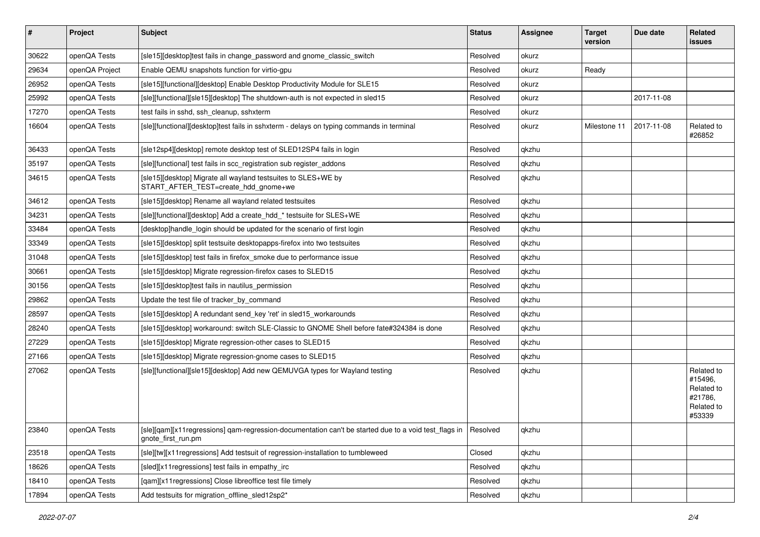| $\vert$ # | Project        | <b>Subject</b>                                                                                                                        | <b>Status</b> | <b>Assignee</b> | <b>Target</b><br>version | Due date   | <b>Related</b><br><b>issues</b>                                        |
|-----------|----------------|---------------------------------------------------------------------------------------------------------------------------------------|---------------|-----------------|--------------------------|------------|------------------------------------------------------------------------|
| 30622     | openQA Tests   | [sle15][desktop]test fails in change_password and gnome_classic_switch                                                                | Resolved      | okurz           |                          |            |                                                                        |
| 29634     | openQA Project | Enable QEMU snapshots function for virtio-gpu                                                                                         | Resolved      | okurz           | Ready                    |            |                                                                        |
| 26952     | openQA Tests   | [sle15][functional][desktop] Enable Desktop Productivity Module for SLE15                                                             | Resolved      | okurz           |                          |            |                                                                        |
| 25992     | openQA Tests   | [sle][functional][sle15][desktop] The shutdown-auth is not expected in sled15                                                         | Resolved      | okurz           |                          | 2017-11-08 |                                                                        |
| 17270     | openQA Tests   | test fails in sshd, ssh cleanup, sshxterm                                                                                             | Resolved      | okurz           |                          |            |                                                                        |
| 16604     | openQA Tests   | [sle][functional][desktop]test fails in sshxterm - delays on typing commands in terminal                                              | Resolved      | okurz           | Milestone 11             | 2017-11-08 | Related to<br>#26852                                                   |
| 36433     | openQA Tests   | [sle12sp4][desktop] remote desktop test of SLED12SP4 fails in login                                                                   | Resolved      | qkzhu           |                          |            |                                                                        |
| 35197     | openQA Tests   | [sle][functional] test fails in scc_registration sub register_addons                                                                  | Resolved      | qkzhu           |                          |            |                                                                        |
| 34615     | openQA Tests   | [sle15][desktop] Migrate all wayland testsuites to SLES+WE by<br>START_AFTER_TEST=create_hdd_gnome+we                                 | Resolved      | qkzhu           |                          |            |                                                                        |
| 34612     | openQA Tests   | [sle15][desktop] Rename all wayland related testsuites                                                                                | Resolved      | qkzhu           |                          |            |                                                                        |
| 34231     | openQA Tests   | [sle][functional][desktop] Add a create hdd * testsuite for SLES+WE                                                                   | Resolved      | qkzhu           |                          |            |                                                                        |
| 33484     | openQA Tests   | [desktop]handle login should be updated for the scenario of first login                                                               | Resolved      | qkzhu           |                          |            |                                                                        |
| 33349     | openQA Tests   | [sle15][desktop] split testsuite desktopapps-firefox into two testsuites                                                              | Resolved      | qkzhu           |                          |            |                                                                        |
| 31048     | openQA Tests   | [sle15][desktop] test fails in firefox_smoke due to performance issue                                                                 | Resolved      | qkzhu           |                          |            |                                                                        |
| 30661     | openQA Tests   | [sle15][desktop] Migrate regression-firefox cases to SLED15                                                                           | Resolved      | qkzhu           |                          |            |                                                                        |
| 30156     | openQA Tests   | [sle15][desktop]test fails in nautilus permission                                                                                     | Resolved      | qkzhu           |                          |            |                                                                        |
| 29862     | openQA Tests   | Update the test file of tracker by command                                                                                            | Resolved      | qkzhu           |                          |            |                                                                        |
| 28597     | openQA Tests   | [sle15][desktop] A redundant send_key 'ret' in sled15_workarounds                                                                     | Resolved      | qkzhu           |                          |            |                                                                        |
| 28240     | openQA Tests   | [sle15][desktop] workaround: switch SLE-Classic to GNOME Shell before fate#324384 is done                                             | Resolved      | qkzhu           |                          |            |                                                                        |
| 27229     | openQA Tests   | [sle15][desktop] Migrate regression-other cases to SLED15                                                                             | Resolved      | qkzhu           |                          |            |                                                                        |
| 27166     | openQA Tests   | [sle15][desktop] Migrate regression-gnome cases to SLED15                                                                             | Resolved      | qkzhu           |                          |            |                                                                        |
| 27062     | openQA Tests   | [sle][functional][sle15][desktop] Add new QEMUVGA types for Wayland testing                                                           | Resolved      | qkzhu           |                          |            | Related to<br>#15496,<br>Related to<br>#21786,<br>Related to<br>#53339 |
| 23840     | openQA Tests   | [sle][qam][x11regressions] qam-regression-documentation can't be started due to a void test_flags in   Resolved<br>gnote_first_run.pm |               | qkzhu           |                          |            |                                                                        |
| 23518     | openQA Tests   | [sle][tw][x11regressions] Add testsuit of regression-installation to tumbleweed                                                       | Closed        | qkzhu           |                          |            |                                                                        |
| 18626     | openQA Tests   | [sled][x11 regressions] test fails in empathy_irc                                                                                     | Resolved      | qkzhu           |                          |            |                                                                        |
| 18410     | openQA Tests   | [qam][x11regressions] Close libreoffice test file timely                                                                              | Resolved      | qkzhu           |                          |            |                                                                        |
| 17894     | openQA Tests   | Add testsuits for migration_offline_sled12sp2*                                                                                        | Resolved      | qkzhu           |                          |            |                                                                        |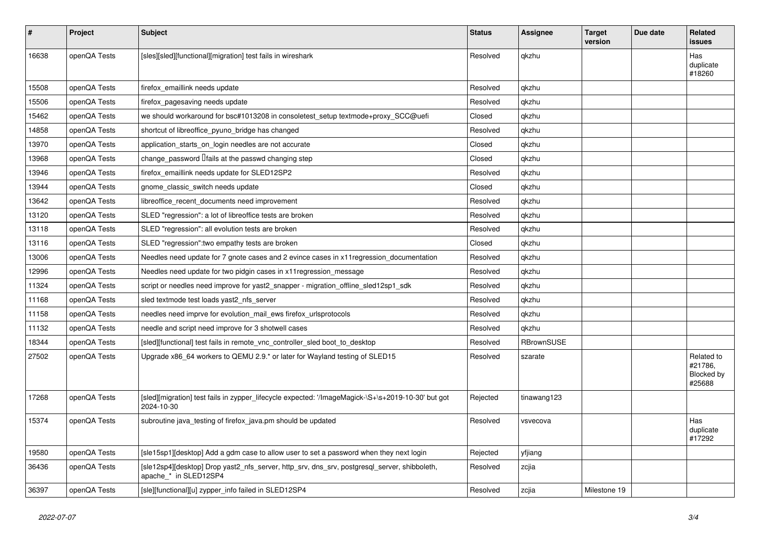| #     | Project      | <b>Subject</b>                                                                                                        | <b>Status</b> | <b>Assignee</b>   | <b>Target</b><br>version | Due date | Related<br><b>issues</b>                      |
|-------|--------------|-----------------------------------------------------------------------------------------------------------------------|---------------|-------------------|--------------------------|----------|-----------------------------------------------|
| 16638 | openQA Tests | [sles][sled][functional][migration] test fails in wireshark                                                           | Resolved      | qkzhu             |                          |          | Has<br>duplicate<br>#18260                    |
| 15508 | openQA Tests | firefox emaillink needs update                                                                                        | Resolved      | gkzhu             |                          |          |                                               |
| 15506 | openQA Tests | firefox pagesaving needs update                                                                                       | Resolved      | qkzhu             |                          |          |                                               |
| 15462 | openQA Tests | we should workaround for bsc#1013208 in consoletest setup textmode+proxy SCC@uefi                                     | Closed        | qkzhu             |                          |          |                                               |
| 14858 | openQA Tests | shortcut of libreoffice pyuno bridge has changed                                                                      | Resolved      | qkzhu             |                          |          |                                               |
| 13970 | openQA Tests | application starts on login needles are not accurate                                                                  | Closed        | qkzhu             |                          |          |                                               |
| 13968 | openQA Tests | change_password <i>liails</i> at the passwd changing step                                                             | Closed        | qkzhu             |                          |          |                                               |
| 13946 | openQA Tests | firefox emaillink needs update for SLED12SP2                                                                          | Resolved      | qkzhu             |                          |          |                                               |
| 13944 | openQA Tests | gnome_classic_switch needs update                                                                                     | Closed        | qkzhu             |                          |          |                                               |
| 13642 | openQA Tests | libreoffice_recent_documents need improvement                                                                         | Resolved      | qkzhu             |                          |          |                                               |
| 13120 | openQA Tests | SLED "regression": a lot of libreoffice tests are broken                                                              | Resolved      | qkzhu             |                          |          |                                               |
| 13118 | openQA Tests | SLED "regression": all evolution tests are broken                                                                     | Resolved      | qkzhu             |                          |          |                                               |
| 13116 | openQA Tests | SLED "regression": two empathy tests are broken                                                                       | Closed        | qkzhu             |                          |          |                                               |
| 13006 | openQA Tests | Needles need update for 7 gnote cases and 2 evince cases in x11 regression documentation                              | Resolved      | qkzhu             |                          |          |                                               |
| 12996 | openQA Tests | Needles need update for two pidgin cases in x11 regression message                                                    | Resolved      | qkzhu             |                          |          |                                               |
| 11324 | openQA Tests | script or needles need improve for yast2_snapper - migration_offline_sled12sp1_sdk                                    | Resolved      | qkzhu             |                          |          |                                               |
| 11168 | openQA Tests | sled textmode test loads yast2_nfs_server                                                                             | Resolved      | qkzhu             |                          |          |                                               |
| 11158 | openQA Tests | needles need imprve for evolution mail ews firefox urlsprotocols                                                      | Resolved      | qkzhu             |                          |          |                                               |
| 11132 | openQA Tests | needle and script need improve for 3 shotwell cases                                                                   | Resolved      | qkzhu             |                          |          |                                               |
| 18344 | openQA Tests | [sled][functional] test fails in remote_vnc_controller_sled boot_to_desktop                                           | Resolved      | <b>RBrownSUSE</b> |                          |          |                                               |
| 27502 | openQA Tests | Upgrade x86_64 workers to QEMU 2.9.* or later for Wayland testing of SLED15                                           | Resolved      | szarate           |                          |          | Related to<br>#21786,<br>Blocked by<br>#25688 |
| 17268 | openQA Tests | [sled][migration] test fails in zypper_lifecycle expected: '/ImageMagick-\S+\s+2019-10-30' but got<br>2024-10-30      | Rejected      | tinawang123       |                          |          |                                               |
| 15374 | openQA Tests | subroutine java testing of firefox java.pm should be updated                                                          | Resolved      | vsvecova          |                          |          | Has<br>duplicate<br>#17292                    |
| 19580 | openQA Tests | [sle15sp1][desktop] Add a gdm case to allow user to set a password when they next login                               | Rejected      | yfjiang           |                          |          |                                               |
| 36436 | openQA Tests | [sle12sp4][desktop] Drop yast2_nfs_server, http_srv, dns_srv, postgresql_server, shibboleth,<br>apache * in SLED12SP4 | Resolved      | zcjia             |                          |          |                                               |
| 36397 | openQA Tests | [sle][functional][u] zypper info failed in SLED12SP4                                                                  | Resolved      | zcjia             | Milestone 19             |          |                                               |